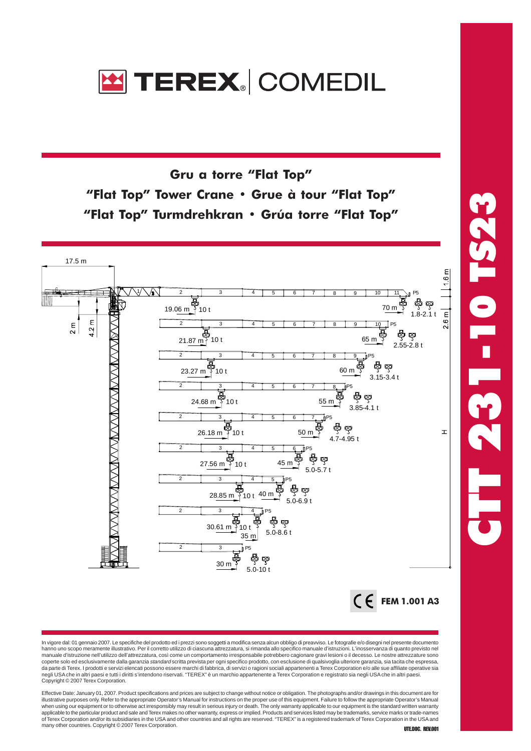

Gru a torre "Flat Top" "Flat Top" Tower Crane • Grue à tour "Flat Top" "Flat Top" Turmdrehkran • Grúa torre "Flat Top"



In vigore dal: 01 gennaio 2007. Le specifiche del prodotto ed i prezzi sono soggetti a modifica senza alcun obbligo di preavviso. Le fotografie e/o disegni nel presente documento<br>hanno uno scopo meramente illustrativo. Per manuale d'istruzione nell'utilizzo dell'attrezzatura, così come un comportamento irresponsabile potrebbero cagionare gravi lesioni o il decesso. Le nostre attrezzature sono<br>coperte solo ed esclusivamente dalla garanzia *st* da parte di Terex. I prodotti e servizi elencati possono essere marchi di fabbrica, di servizi o ragioni sociali appartenenti a Terex Corporation e/o alle sue affiliate operative sia negli USA che in altri paesi e tutti i diritti s'intendono riservati. "TEREX" è un marchio appartenente a Terex Corporation e registrato sia negli USA che in altri paesi. Copyright © 2007 Terex Corporation.

Effective Date: January 01, 2007. Product specifications and prices are subject to change without notice or obligation. The photographs and/or drawings in this document are for illustrative purposes only. Refer to the appropriate Operator's Manual for instructions on the proper use of this equipment. Failure to follow the appropriate Operator's Manual<br>when using our equipment or to otherwise act applicable to the particular product and sale and Terex makes no other warranty, express or implied. Products and services listed may be trademarks, service marks or trade-names<br>of Terex Corporation and/or its subsidiaries many other countries. Copyright © 2007 Terex Corporation.<br> **UTEDOC. REV.001**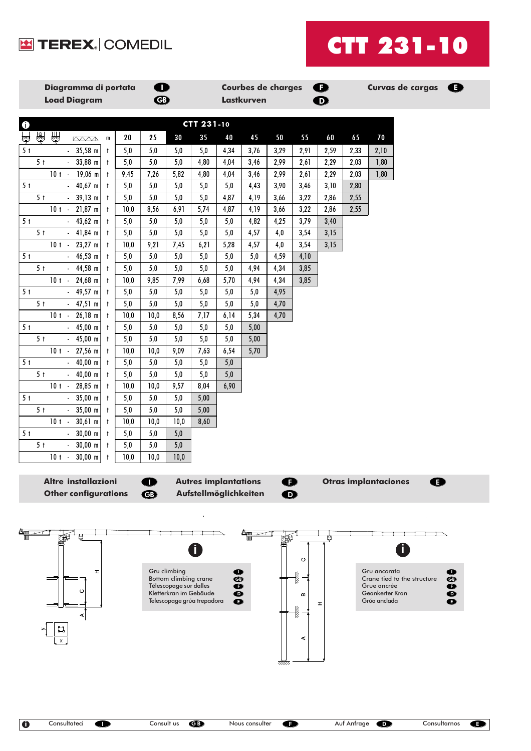



| Diagramma di portata<br><b>Load Diagram</b>                                                                                                                                                                                                                                                                                                          |             | $\bullet$<br>$\bigcirc$    |                                              |                                                      |                             | <b>Lastkurven</b> | <b>Courbes de charges</b> |                   | $\bullet$<br>$\bf \Phi$ |      |                                 | Curvas de cargas <b>B</b>   |                         |
|------------------------------------------------------------------------------------------------------------------------------------------------------------------------------------------------------------------------------------------------------------------------------------------------------------------------------------------------------|-------------|----------------------------|----------------------------------------------|------------------------------------------------------|-----------------------------|-------------------|---------------------------|-------------------|-------------------------|------|---------------------------------|-----------------------------|-------------------------|
|                                                                                                                                                                                                                                                                                                                                                      |             |                            |                                              |                                                      |                             |                   |                           |                   |                         |      |                                 |                             |                         |
| $\ddot{\textbf{0}}$                                                                                                                                                                                                                                                                                                                                  |             |                            |                                              | CTT 231-10                                           |                             |                   |                           |                   |                         |      |                                 |                             |                         |
| 圗<br>து<br>မြေ<br>$\mathbb{Z}$ $\mathbb{Z}$ $\mathbb{Z}$ $\mathbb{Z}$ $\mathbb{Z}$ $\mathbb{Z}$ $\mathbb{Z}$ $\mathbb{Z}$ $\mathbb{Z}$ $\mathbb{Z}$ $\mathbb{Z}$ $\mathbb{Z}$ $\mathbb{Z}$ $\mathbb{Z}$ $\mathbb{Z}$ $\mathbb{Z}$ $\mathbb{Z}$ $\mathbb{Z}$ $\mathbb{Z}$ $\mathbb{Z}$ $\mathbb{Z}$ $\mathbb{Z}$ $\mathbb{Z}$ $\mathbb{Z}$ $\mathbb{$ | 20          | 25                         | 30                                           | 35                                                   | 40                          | 45                | 50                        | 55                | 60                      | 65   | 70                              |                             |                         |
| 5 <sub>t</sub><br>$35,58$ m<br>$\sim$<br>$^{\dagger}$                                                                                                                                                                                                                                                                                                | 5,0         | 5,0                        | 5,0                                          | $5,0$                                                | 4,34                        | 3,76              | 3,29                      | 2,91              | 2,59                    | 2,33 | 2,10                            |                             |                         |
| 5 <sub>t</sub><br>33,88 m<br>$\mathbf{t}$<br>$\blacksquare$                                                                                                                                                                                                                                                                                          | 5,0         | 5,0                        | $5,0$                                        | 4,80                                                 | 4,04                        | 3,46              | 2,99                      | 2,61              | 2,29                    | 2,03 | 1,80                            |                             |                         |
| $10 t - 19,06 m$<br>$\mathbf{t}$                                                                                                                                                                                                                                                                                                                     | 9,45        | 7,26                       | 5,82                                         | 4,80                                                 | 4,04                        | 3,46              | 2,99                      | 2,61              | 2,29                    | 2,03 | 1,80                            |                             |                         |
| 5 <sub>t</sub><br>$40,67$ m<br>$\mathbf{t}$                                                                                                                                                                                                                                                                                                          | 5,0         | 5,0                        | $5,0$                                        | $5,0$                                                | $5,0$                       | 4,43              | 3,90                      | 3,46              | 3,10                    | 2,80 |                                 |                             |                         |
| 5 <sub>t</sub><br>$39,13 \text{ m}$<br>$\mathbf{t}$<br>$\sim$                                                                                                                                                                                                                                                                                        | 5,0         | 5,0                        | $5,0$                                        | $5,0$                                                | 4,87                        | 4,19              | 3,66                      | 3,22              | 2,86                    | 2,55 |                                 |                             |                         |
| $10t - 21,87m$<br>$\mathbf{t}$                                                                                                                                                                                                                                                                                                                       | 10,0        | 8,56                       | 6,91                                         | 5,74                                                 | 4,87                        | 4,19              | 3,66                      | 3,22              | 2,86                    | 2,55 |                                 |                             |                         |
| $43,62 \text{ m}$<br>5 <sub>t</sub><br>$\mathcal{L}^{\pm}$<br>$\mathbf{t}$                                                                                                                                                                                                                                                                           | 5,0         | 5,0                        | $5,0$                                        | 5,0                                                  | 5,0                         | 4,82              | 4,25                      | 3,79              | 3,40                    |      |                                 |                             |                         |
| $-41,84$ m<br>5 <sub>t</sub><br>$\mathbf{t}$                                                                                                                                                                                                                                                                                                         | 5,0         | 5,0                        | $5,0$                                        | 5,0                                                  | 5,0                         | 4,57              | 4,0                       | 3,54              | 3,15                    |      |                                 |                             |                         |
| $23,27$ m<br>$10t -$<br>$\mathbf{t}$                                                                                                                                                                                                                                                                                                                 | 10,0        | 9,21                       | 7,45                                         | 6,21                                                 | 5,28                        | 4,57              | 4,0                       | 3,54              | 3,15                    |      |                                 |                             |                         |
| 5 <sub>t</sub><br>$46,53 \text{ m}$<br>$\mathbf{t}$<br>$\mathcal{L}_{\mathcal{A}}$                                                                                                                                                                                                                                                                   | $5,0$       | 5,0                        | $5,0$                                        | $5,0$                                                | $5,0$                       | $5,0$             | 4,59                      | 4,10              |                         |      |                                 |                             |                         |
| 5 <sub>t</sub><br>$-44,58 \text{ m}$<br>$\mathbf{t}$                                                                                                                                                                                                                                                                                                 | 5,0         | 5,0                        | $5,0$                                        | 5,0                                                  | 5,0                         | 4,94              | 4,34                      | 3,85              |                         |      |                                 |                             |                         |
| $24,68$ m<br>$10t -$<br>$\mathbf{t}$                                                                                                                                                                                                                                                                                                                 | 10,0        | 9,85                       | 7,99                                         | 6,68                                                 | 5,70                        | 4,94              | 4,34                      | 3,85              |                         |      |                                 |                             |                         |
| 5 <sub>t</sub><br>$-49,57 \text{ m}$<br>$\mathbf{t}$                                                                                                                                                                                                                                                                                                 | $5,0$       | 5,0                        | 5,0                                          | 5,0                                                  | $5,0$                       | $5,0$             | 4,95                      |                   |                         |      |                                 |                             |                         |
| 5 <sub>t</sub><br>$47,51 \text{ m}$<br>$\mathbf{t}$<br>$\mathcal{L}_{\mathcal{A}}$                                                                                                                                                                                                                                                                   | 5,0         | 5,0                        | $5,0$                                        | 5,0                                                  | 5,0                         | $5,0$             | 4,70                      |                   |                         |      |                                 |                             |                         |
| $26,18$ m<br>$10t -$<br>$\mathbf{t}$                                                                                                                                                                                                                                                                                                                 | 10,0        | 10,0                       | 8,56                                         | 7,17                                                 | 6,14                        | 5,34              | 4,70                      |                   |                         |      |                                 |                             |                         |
| $45,00 \text{ m}$<br>5 <sub>t</sub><br>$\sim$<br>$\mathbf{t}$                                                                                                                                                                                                                                                                                        | 5,0         | 5,0                        | $5,0$                                        | 5,0                                                  | 5,0                         | 5,00              |                           |                   |                         |      |                                 |                             |                         |
| 5 <sub>t</sub><br>$-45,00 \text{ m}$<br>$\mathbf{t}$                                                                                                                                                                                                                                                                                                 | 5,0         | 5,0                        | 5,0                                          | $5,0$                                                | 5,0                         | 5,00              |                           |                   |                         |      |                                 |                             |                         |
| $27,56$ m<br>$10t -$<br>$\mathbf{t}$                                                                                                                                                                                                                                                                                                                 | 10,0        | 10,0                       | 9,09                                         | 7,63                                                 | 6,54                        | 5,70              |                           |                   |                         |      |                                 |                             |                         |
| 5 <sub>t</sub><br>$40,00 \text{ m}$<br>$\mathbf{t}$<br>$\sim$<br>5 <sub>t</sub>                                                                                                                                                                                                                                                                      | 5,0         | 5,0<br>5,0                 | $5,0$                                        | $5,0$<br>$5,0$                                       | 5,0                         |                   |                           |                   |                         |      |                                 |                             |                         |
| $40,00 \text{ m}$<br>$^{\dagger}$<br>$\sim$<br>$10t -$<br>28,85 m<br>$\mathbf{t}$                                                                                                                                                                                                                                                                    | 5,0<br>10,0 | 10,0                       | 5,0<br>9,57                                  | 8,04                                                 | 5,0<br>6,90                 |                   |                           |                   |                         |      |                                 |                             |                         |
| 5 <sub>t</sub><br>$35,00 \, \text{m}$<br>$\mathcal{L}^{\pm}$<br>$\mathbf{t}$                                                                                                                                                                                                                                                                         | 5,0         | 5,0                        | 5,0                                          | 5,00                                                 |                             |                   |                           |                   |                         |      |                                 |                             |                         |
| 5 <sub>t</sub><br>$35,00 \text{ m}$<br>$\sim$<br>$\mathbf{t}$                                                                                                                                                                                                                                                                                        | 5,0         | 5,0                        | 5,0                                          | 5,00                                                 |                             |                   |                           |                   |                         |      |                                 |                             |                         |
| $10t -$<br>$30,61$ m<br>$\mathbf{t}$                                                                                                                                                                                                                                                                                                                 | 10,0        | 10,0                       | 10,0                                         | 8,60                                                 |                             |                   |                           |                   |                         |      |                                 |                             |                         |
| 5 <sub>t</sub><br>$30,00 \, \text{m}$<br>$\mathcal{L}^{\pm}$<br>$\mathbf{t}$                                                                                                                                                                                                                                                                         | $5,0$       | 5,0                        | $5,0$                                        |                                                      |                             |                   |                           |                   |                         |      |                                 |                             |                         |
| 5 <sub>t</sub><br>$30,00 \, \text{m}$<br>$\ddagger$                                                                                                                                                                                                                                                                                                  | 5,0         | 5,0                        | $5,0$                                        |                                                      |                             |                   |                           |                   |                         |      |                                 |                             |                         |
| $10t -$<br>$30,00 \, \text{m}$                                                                                                                                                                                                                                                                                                                       | 10,0        | 10,0                       | 10,0                                         |                                                      |                             |                   |                           |                   |                         |      |                                 |                             |                         |
|                                                                                                                                                                                                                                                                                                                                                      |             |                            |                                              |                                                      |                             |                   |                           |                   |                         |      |                                 |                             |                         |
| Altre installazioni                                                                                                                                                                                                                                                                                                                                  |             | . .                        |                                              |                                                      | <b>Autres implantations</b> |                   | Ð                         |                   |                         |      | <b>Otras implantaciones</b>     |                             | E.                      |
| <b>Other configurations</b>                                                                                                                                                                                                                                                                                                                          |             | $\boldsymbol{\bm{\oplus}}$ |                                              |                                                      | Aufstellmöglichkeiten       |                   | $\bf \Phi$                |                   |                         |      |                                 |                             |                         |
|                                                                                                                                                                                                                                                                                                                                                      |             |                            |                                              |                                                      |                             |                   |                           |                   |                         |      |                                 |                             |                         |
|                                                                                                                                                                                                                                                                                                                                                      |             |                            |                                              |                                                      |                             |                   |                           |                   |                         |      |                                 |                             |                         |
|                                                                                                                                                                                                                                                                                                                                                      |             |                            |                                              |                                                      |                             |                   |                           |                   | Ų                       |      |                                 |                             |                         |
|                                                                                                                                                                                                                                                                                                                                                      |             |                            |                                              |                                                      |                             |                   |                           |                   |                         |      |                                 |                             |                         |
|                                                                                                                                                                                                                                                                                                                                                      |             |                            |                                              |                                                      |                             |                   |                           | $\circ$           |                         |      |                                 |                             |                         |
| $\pm$                                                                                                                                                                                                                                                                                                                                                |             |                            | Gru climbing<br><b>Bottom climbing crane</b> |                                                      | o<br>$\bf \Phi$             |                   |                           |                   |                         |      | Gru ancorata                    | Crane tied to the structure | $\bullet$<br>$\bf \Phi$ |
| O                                                                                                                                                                                                                                                                                                                                                    |             |                            | Télescopage sur dalles                       |                                                      | $\bullet$                   |                   |                           |                   |                         |      | Grue ancrée                     |                             | $\bullet$               |
|                                                                                                                                                                                                                                                                                                                                                      |             |                            |                                              | Kletterkran im Gebäude<br>Telescopage grúa trepadora | $\bf o$<br>❶                |                   |                           | w                 | H                       |      | Geankerter Kran<br>Grúa anclada |                             | $\bullet$<br>❶          |
|                                                                                                                                                                                                                                                                                                                                                      |             |                            |                                              |                                                      |                             |                   |                           | <b>Survey Co.</b> |                         |      |                                 |                             |                         |
|                                                                                                                                                                                                                                                                                                                                                      |             |                            |                                              |                                                      |                             |                   |                           |                   |                         |      |                                 |                             |                         |
|                                                                                                                                                                                                                                                                                                                                                      |             |                            |                                              |                                                      |                             |                   |                           | ⋖                 |                         |      |                                 |                             |                         |
|                                                                                                                                                                                                                                                                                                                                                      |             |                            |                                              |                                                      |                             |                   |                           |                   |                         |      |                                 |                             |                         |
|                                                                                                                                                                                                                                                                                                                                                      |             |                            |                                              |                                                      |                             |                   |                           |                   |                         |      |                                 |                             |                         |
|                                                                                                                                                                                                                                                                                                                                                      |             |                            |                                              |                                                      |                             |                   |                           |                   |                         |      |                                 |                             |                         |
|                                                                                                                                                                                                                                                                                                                                                      |             |                            |                                              |                                                      |                             |                   |                           |                   |                         |      |                                 |                             |                         |
|                                                                                                                                                                                                                                                                                                                                                      |             |                            |                                              |                                                      |                             |                   |                           |                   |                         |      |                                 |                             |                         |
|                                                                                                                                                                                                                                                                                                                                                      |             |                            |                                              |                                                      |                             |                   |                           |                   |                         |      |                                 |                             |                         |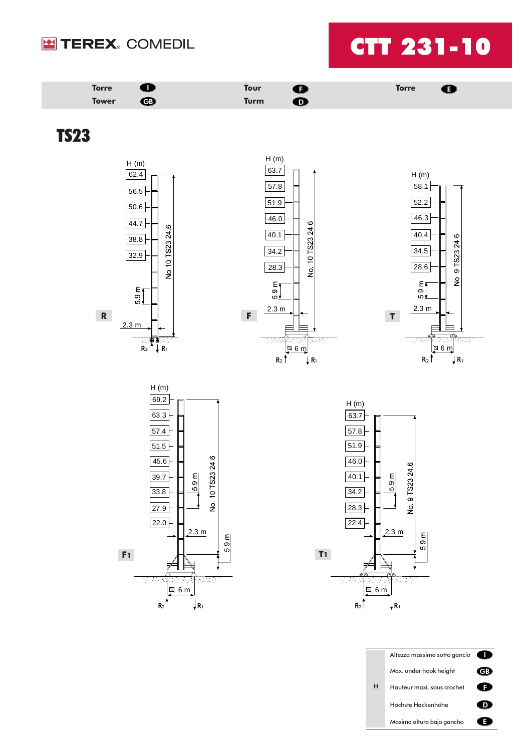



Höchste Hackenhöhe

Maxima altura bajo gancho

 $\bullet$  $\bullet$